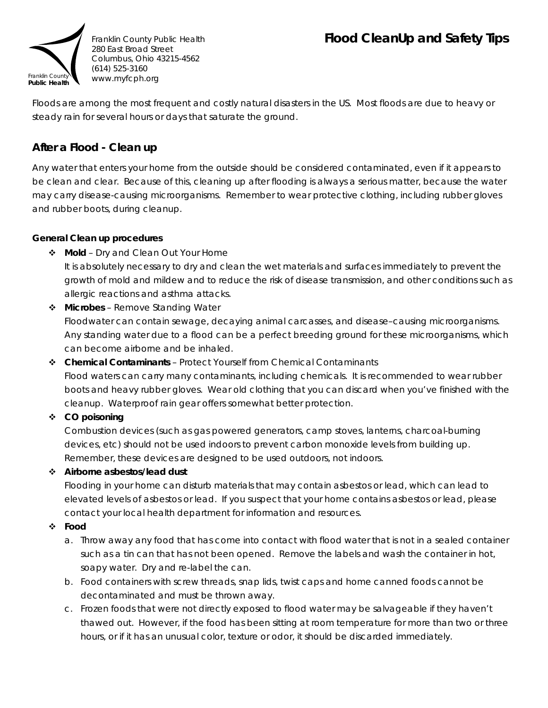# **Flood CleanUp and Safety Tips**



Floods are among the most frequent and costly natural disasters in the US. Most floods are due to heavy or steady rain for several hours or days that saturate the ground.

# **After a Flood - Clean up**

Any water that enters your home from the outside should be considered contaminated, even if it appears to be clean and clear. Because of this, cleaning up after flooding is always a serious matter, because the water may carry disease-causing microorganisms. Remember to wear protective clothing, including rubber gloves and rubber boots, during cleanup.

### **General Clean up procedures**

- **Mold** Dry and Clean Out Your Home It is absolutely necessary to dry and clean the wet materials and surfaces immediately to prevent the growth of mold and mildew and to reduce the risk of disease transmission, and other conditions such as allergic reactions and asthma attacks.
- **Microbes** Remove Standing Water Floodwater can contain sewage, decaying animal carcasses, and disease–causing microorganisms. Any standing water due to a flood can be a perfect breeding ground for these microorganisms, which can become airborne and be inhaled.
- **Chemical Contaminants** Protect Yourself from Chemical Contaminants Flood waters can carry many contaminants, including chemicals. It is recommended to wear rubber boots and heavy rubber gloves. Wear old clothing that you can discard when you've finished with the cleanup. Waterproof rain gear offers somewhat better protection.

# **CO poisoning**

Combustion devices (such as gas powered generators, camp stoves, lanterns, charcoal-burning devices, etc) should not be used indoors to prevent carbon monoxide levels from building up. Remember, these devices are designed to be used outdoors, not indoors.

# **Airborne asbestos/lead dust**

Flooding in your home can disturb materials that may contain asbestos or lead, which can lead to elevated levels of asbestos or lead. If you suspect that your home contains asbestos or lead, please contact your local health department for information and resources.

### **Food**

- a. Throw away any food that has come into contact with flood water that is not in a sealed container such as a tin can that has not been opened. Remove the labels and wash the container in hot, soapy water. Dry and re-label the can.
- b. Food containers with screw threads, snap lids, twist caps and home canned foods cannot be decontaminated and must be thrown away.
- c. Frozen foods that were not directly exposed to flood water may be salvageable if they haven't thawed out. However, if the food has been sitting at room temperature for more than two or three hours, or if it has an unusual color, texture or odor, it should be discarded immediately.